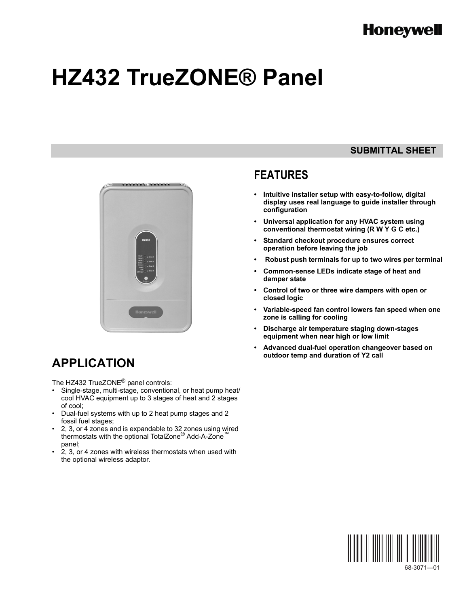# **Honeywell**

# **HZ432 TrueZONE® Panel**



# **APPLICATION**

The HZ432 TrueZONE® panel controls:

- Single-stage, multi-stage, conventional, or heat pump heat/ cool HVAC equipment up to 3 stages of heat and 2 stages of cool;
- Dual-fuel systems with up to 2 heat pump stages and 2 fossil fuel stages;
- 2, 3, or 4 zones and is expandable to 32 zones using wired thermostats with the optional TotalZone<sup>®</sup> Add-A-Zone<sup>™</sup> panel;
- 2, 3, or 4 zones with wireless thermostats when used with the optional wireless adaptor.

### **SUBMITTAL SHEET**

### **FEATURES**

- **Intuitive installer setup with easy-to-follow, digital display uses real language to guide installer through configuration**
- **Universal application for any HVAC system using conventional thermostat wiring (R W Y G C etc.)**
- **Standard checkout procedure ensures correct operation before leaving the job**
- **Robust push terminals for up to two wires per terminal**
- **Common-sense LEDs indicate stage of heat and damper state**
- **Control of two or three wire dampers with open or closed logic**
- **Variable-speed fan control lowers fan speed when one zone is calling for cooling**
- **Discharge air temperature staging down-stages equipment when near high or low limit**
- **Advanced dual-fuel operation changeover based on outdoor temp and duration of Y2 call**

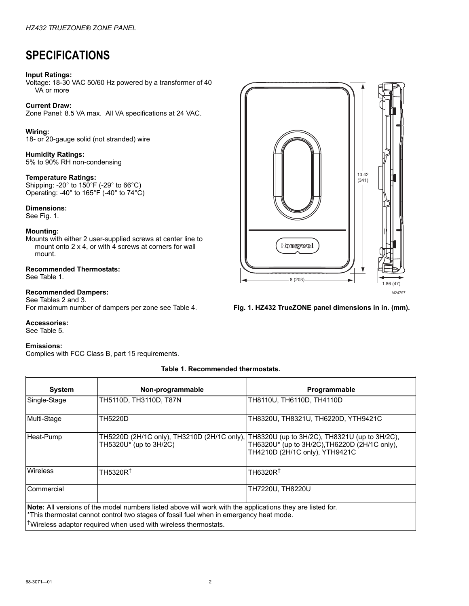## **SPECIFICATIONS**

#### **Input Ratings:**

Voltage: 18-30 VAC 50/60 Hz powered by a transformer of 40 VA or more

#### **Current Draw:**

Zone Panel: 8.5 VA max. All VA specifications at 24 VAC.

#### **Wiring:**

18- or 20-gauge solid (not stranded) wire

**Humidity Ratings:** 5% to 90% RH non-condensing

#### **Temperature Ratings:**

Shipping: -20° to 150°F (-29° to 66°C) Operating: -40° to 165°F (-40° to 74°C)

#### **Dimensions:**

See Fig. 1.

#### **Mounting:**

Mounts with either 2 user-supplied screws at center line to mount onto 2 x 4, or with 4 screws at corners for wall mount.

#### **Recommended Thermostats:** See [Table 1](#page-1-0).

#### **Recommended Dampers:**

See Tables [2](#page-2-0) and 3. For maximum number of dampers per zone see Table 4.

#### **Accessories:**

See [Table 5](#page-2-1).

#### **Emissions:**

Complies with FCC Class B, part 15 requirements.

#### **Table 1. Recommended thermostats.**

<span id="page-1-0"></span>

| <b>System</b>                                                                                                                                                                                                                                                                      | Non-programmable                                                      | Programmable                                                                                                                     |  |
|------------------------------------------------------------------------------------------------------------------------------------------------------------------------------------------------------------------------------------------------------------------------------------|-----------------------------------------------------------------------|----------------------------------------------------------------------------------------------------------------------------------|--|
| Single-Stage                                                                                                                                                                                                                                                                       | TH5110D, TH3110D, T87N                                                | TH8110U. TH6110D. TH4110D                                                                                                        |  |
| Multi-Stage                                                                                                                                                                                                                                                                        | TH5220D                                                               | TH8320U, TH8321U, TH6220D, YTH9421C                                                                                              |  |
| Heat-Pump                                                                                                                                                                                                                                                                          | TH5220D (2H/1C only), TH3210D (2H/1C only),<br>TH5320U* (up to 3H/2C) | TH8320U (up to 3H/2C), TH8321U (up to 3H/2C),<br>TH6320U* (up to 3H/2C), TH6220D (2H/1C only),<br>TH4210D (2H/1C only), YTH9421C |  |
| Wireless                                                                                                                                                                                                                                                                           | TH5320R <sup>+</sup>                                                  | TH6320R <sup>+</sup>                                                                                                             |  |
| Commercial                                                                                                                                                                                                                                                                         |                                                                       | TH7220U, TH8220U                                                                                                                 |  |
| Note: All versions of the model numbers listed above will work with the applications they are listed for.<br>*This thermostat cannot control two stages of fossil fuel when in emergency heat mode.<br><sup>1</sup> Wireless adaptor required when used with wireless thermostats. |                                                                       |                                                                                                                                  |  |



**Fig. 1. HZ432 TrueZONE panel dimensions in in. (mm).**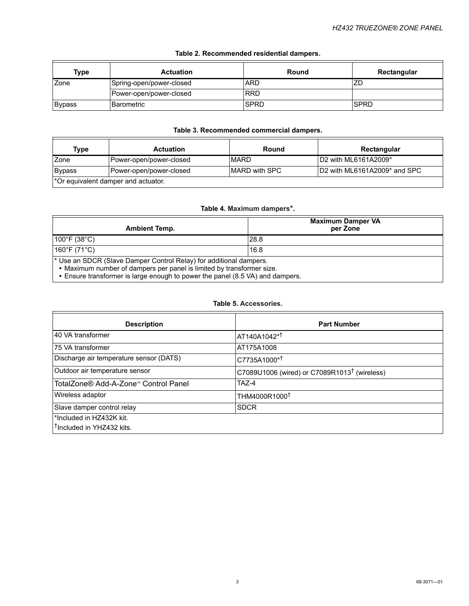<span id="page-2-0"></span>

| Type          | <b>Actuation</b>         | Round       | Rectangular |
|---------------|--------------------------|-------------|-------------|
| Zone          | Spring-open/power-closed | <b>ARD</b>  | ZC          |
|               | Power-open/power-closed  | <b>RRD</b>  |             |
| <b>Bypass</b> | l Barometric             | <b>SPRD</b> | ISPRD       |

#### **Table 2. Recommended residential dampers.**

#### **Table 3. Recommended commercial dampers.**

| Type                                | Actuation               | Round                 | Rectangular                  |
|-------------------------------------|-------------------------|-----------------------|------------------------------|
| Zone                                | Power-open/power-closed | <b>MARD</b>           | ID2 with ML6161A2009*        |
| Bypass                              | Power-open/power-closed | <b>IMARD with SPC</b> | D2 with ML6161A2009* and SPC |
| *Or equivalent damper and actuator. |                         |                       |                              |

#### **Table 4. Maximum dampers\*.**

| <b>Ambient Temp.</b>                                                                                                                                   | <b>Maximum Damper VA</b><br>per Zone |  |
|--------------------------------------------------------------------------------------------------------------------------------------------------------|--------------------------------------|--|
| $100^{\circ}$ F (38 $^{\circ}$ C)                                                                                                                      | 28.8                                 |  |
| $160^{\circ}$ F (71 $^{\circ}$ C) $^{\circ}$                                                                                                           | 16.8                                 |  |
| <sup>*</sup> Use an SDCR (Slave Damper Control Relay) for additional dampers.<br>• Maximum number of dampers per panel is limited by transformer size. |                                      |  |

**•** Ensure transformer is large enough to power the panel (8.5 VA) and dampers.

#### **Table 5. Accessories.**

<span id="page-2-1"></span>

| <b>Description</b>                      | <b>Part Number</b>                                       |  |
|-----------------------------------------|----------------------------------------------------------|--|
| 40 VA transformer                       | AT140A1042* <sup>†</sup>                                 |  |
| 75 VA transformer                       | AT175A1008                                               |  |
| Discharge air temperature sensor (DATS) | C7735A1000* <sup>†</sup>                                 |  |
| Outdoor air temperature sensor          | C7089U1006 (wired) or C7089R1013 <sup>†</sup> (wireless) |  |
| TotalZone® Add-A-Zone™ Control Panel    | TAZ-4                                                    |  |
| Wireless adaptor                        | THM4000R1000 <sup>t</sup>                                |  |
| Slave damper control relay              | <b>SDCR</b>                                              |  |
| l*Included in HZ432K kit.               |                                                          |  |
| <sup>T</sup> Included in YHZ432 kits.   |                                                          |  |